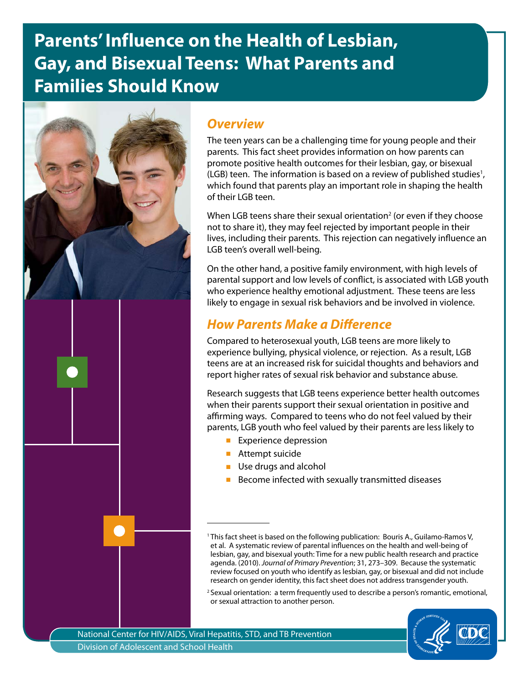# **Parents' Influence on the Health of Lesbian, Gay, and Bisexual Teens: What Parents and Families Should Know**



### *Overview*

The teen years can be a challenging time for young people and their parents. This fact sheet provides information on how parents can promote positive health outcomes for their lesbian, gay, or bisexual  $(LGB)$  teen. The information is based on a review of published studies<sup>1</sup>, which found that parents play an important role in shaping the health of their LGB teen.

When LGB teens share their sexual orientation<sup>2</sup> (or even if they choose not to share it), they may feel rejected by important people in their lives, including their parents. This rejection can negatively influence an LGB teen's overall well-being.

On the other hand, a positive family environment, with high levels of parental support and low levels of conflict, is associated with LGB youth who experience healthy emotional adjustment. These teens are less likely to engage in sexual risk behaviors and be involved in violence.

## *How Parents Make a Difference*

Compared to heterosexual youth, LGB teens are more likely to experience bullying, physical violence, or rejection. As a result, LGB teens are at an increased risk for suicidal thoughts and behaviors and report higher rates of sexual risk behavior and substance abuse.

Research suggests that LGB teens experience better health outcomes when their parents support their sexual orientation in positive and affirming ways. Compared to teens who do not feel valued by their parents, LGB youth who feel valued by their parents are less likely to

- Experience depression
- Attempt suicide
- Use drugs and alcohol
- Become infected with sexually transmitted diseases

<sup>&</sup>lt;sup>2</sup> Sexual orientation: a term frequently used to describe a person's romantic, emotional, or sexual attraction to another person.



<sup>&</sup>lt;sup>1</sup> This fact sheet is based on the following publication: Bouris A., Guilamo-Ramos V, et al. A systematic review of parental influences on the health and well-being of lesbian, gay, and bisexual youth: Time for a new public health research and practice agenda. (2010). *Journal of Primary Prevention*; 31, 273–309. Because the systematic review focused on youth who identify as lesbian, gay, or bisexual and did not include research on gender identity, this fact sheet does not address transgender youth.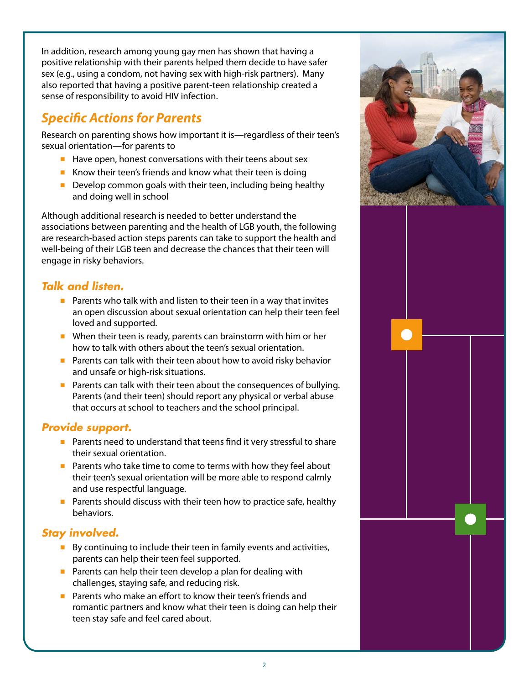In addition, research among young gay men has shown that having a positive relationship with their parents helped them decide to have safer sex (e.g., using a condom, not having sex with high-risk partners). Many also reported that having a positive parent-teen relationship created a sense of responsibility to avoid HIV infection.

## *Specific Actions for Parents*

Research on parenting shows how important it is—regardless of their teen's sexual orientation—for parents to

- Have open, honest conversations with their teens about sex
- Know their teen's friends and know what their teen is doing
- Develop common goals with their teen, including being healthy and doing well in school

Although additional research is needed to better understand the associations between parenting and the health of LGB youth, the following are research-based action steps parents can take to support the health and well-being of their LGB teen and decrease the chances that their teen will engage in risky behaviors.

#### *Talk and listen.*

- Parents who talk with and listen to their teen in a way that invites an open discussion about sexual orientation can help their teen feel loved and supported.
- When their teen is ready, parents can brainstorm with him or her how to talk with others about the teen's sexual orientation.
- Parents can talk with their teen about how to avoid risky behavior and unsafe or high-risk situations.
- Parents can talk with their teen about the consequences of bullying. Parents (and their teen) should report any physical or verbal abuse that occurs at school to teachers and the school principal.

#### *Provide support.*

- Parents need to understand that teens find it very stressful to share their sexual orientation.
- Parents who take time to come to terms with how they feel about their teen's sexual orientation will be more able to respond calmly and use respectful language.
- Parents should discuss with their teen how to practice safe, healthy behaviors.

#### *Stay involved.*

- By continuing to include their teen in family events and activities, parents can help their teen feel supported.
- Parents can help their teen develop a plan for dealing with challenges, staying safe, and reducing risk.
- Parents who make an effort to know their teen's friends and romantic partners and know what their teen is doing can help their teen stay safe and feel cared about.



2